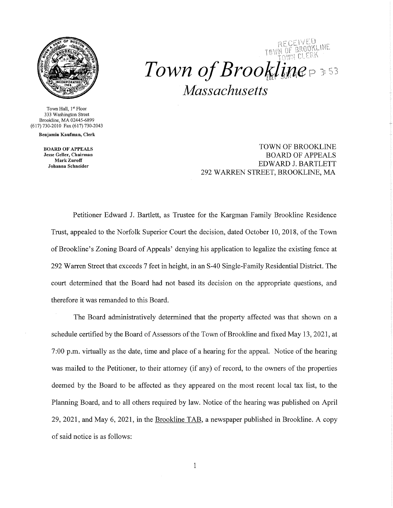

Town of Brookline Massachusetts

Town Hall, 1st Floor 333 Washington Street Brookline, MA 02445-6899 (617) 730-2010 Fax (617) 730-2043

Benjamin Kaufman, Clerk

**BOARD OF APPEALS** Jesse Geller, Chairman Mark Zuroff Johanna Schneider

**TOWN OF BROOKLINE BOARD OF APPEALS EDWARD J. BARTLETT** 292 WARREN STREET, BROOKLINE, MA

Petitioner Edward J. Bartlett, as Trustee for the Kargman Family Brookline Residence Trust, appealed to the Norfolk Superior Court the decision, dated October 10, 2018, of the Town of Brookline's Zoning Board of Appeals' denying his application to legalize the existing fence at 292 Warren Street that exceeds 7 feet in height, in an S-40 Single-Family Residential District. The court determined that the Board had not based its decision on the appropriate questions, and therefore it was remanded to this Board.

The Board administratively determined that the property affected was that shown on a schedule certified by the Board of Assessors of the Town of Brookline and fixed May 13, 2021, at 7:00 p.m. virtually as the date, time and place of a hearing for the appeal. Notice of the hearing was mailed to the Petitioner, to their attorney (if any) of record, to the owners of the properties deemed by the Board to be affected as they appeared on the most recent local tax list, to the Planning Board, and to all others required by law. Notice of the hearing was published on April 29, 2021, and May 6, 2021, in the Brookline TAB, a newspaper published in Brookline. A copy of said notice is as follows: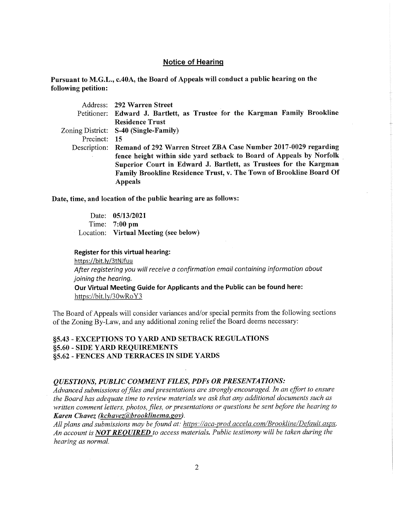### **Notice of Hearing**

Pursuant to M.G.L., c.40A, the Board of Appeals will conduct a public hearing on the following petition:

|              | Address: 292 Warren Street                                                   |
|--------------|------------------------------------------------------------------------------|
|              | Petitioner: Edward J. Bartlett, as Trustee for the Kargman Family Brookline  |
|              | <b>Residence Trust</b>                                                       |
|              | Zoning District: S-40 (Single-Family)                                        |
| Precinct: 15 |                                                                              |
|              | Description: Remand of 292 Warren Street ZBA Case Number 2017-0029 regarding |
|              | fence height within side yard setback to Board of Appeals by Norfolk         |
|              | Superior Court in Edward J. Bartlett, as Trustees for the Kargman            |
|              | Family Brookline Residence Trust, v. The Town of Brookline Board Of          |
|              | Appeals                                                                      |

Date, time, and location of the public hearing are as follows:

Date: 05/13/2021 Time:  $7:00 \text{ pm}$ Location: Virtual Meeting (see below)

#### **Register for this virtual hearing:**

https://bit.ly/3tNJfuu After registering you will receive a confirmation email containing information about joining the hearing. Our Virtual Meeting Guide for Applicants and the Public can be found here: https://bit.ly/30wRoY3

The Board of Appeals will consider variances and/or special permits from the following sections of the Zoning By-Law, and any additional zoning relief the Board deems necessary:

**§5.43 - EXCEPTIONS TO YARD AND SETBACK REGULATIONS** §5.60 - SIDE YARD REQUIREMENTS §5.62 - FENCES AND TERRACES IN SIDE YARDS

# QUESTIONS, PUBLIC COMMENT FILES, PDFs OR PRESENTATIONS:

Advanced submissions of files and presentations are strongly encouraged. In an effort to ensure the Board has adequate time to review materials we ask that any additional documents such as written comment letters, photos, files, or presentations or questions be sent before the hearing to Karen Chavez (kchavez@brooklinema.gov).

All plans and submissions may be found at: https://aca-prod.accela.com/Brookline/Default.aspx. An account is **NOT REQUIRED** to access materials. Public testimony will be taken during the hearing as normal.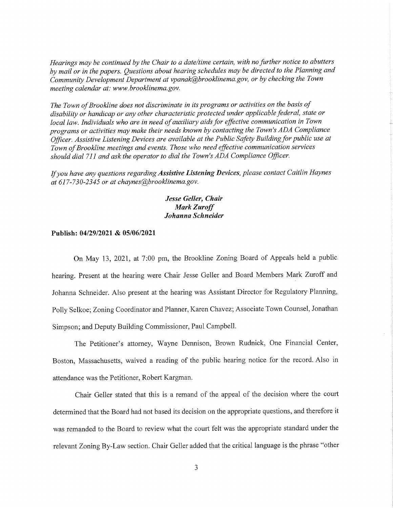Hearings may be continued by the Chair to a date/time certain, with no further notice to abutters by mail or in the papers. Questions about hearing schedules may be directed to the Planning and Community Development Department at vpanak@brooklinema.gov, or by checking the Town meeting calendar at: www.brooklinema.gov.

The Town of Brookline does not discriminate in its programs or activities on the basis of disability or handicap or any other characteristic protected under applicable federal, state or local law. Individuals who are in need of auxiliary aids for effective communication in Town programs or activities may make their needs known by contacting the Town's ADA Compliance Officer. Assistive Listening Devices are available at the Public Safety Building for public use at Town of Brookline meetings and events. Those who need effective communication services should dial 711 and ask the operator to dial the Town's ADA Compliance Officer.

If you have any questions regarding Assistive Listening Devices, please contact Caitlin Haynes at 617-730-2345 or at chaynes@brooklinema.gov.

## Jesse Geller, Chair **Mark Zuroff** Johanna Schneider

### Publish: 04/29/2021 & 05/06/2021

On May 13, 2021, at 7:00 pm, the Brookline Zoning Board of Appeals held a public hearing. Present at the hearing were Chair Jesse Geller and Board Members Mark Zuroff and Johanna Schneider. Also present at the hearing was Assistant Director for Regulatory Planning, Polly Selkoe; Zoning Coordinator and Planner, Karen Chavez; Associate Town Counsel, Jonathan Simpson; and Deputy Building Commissioner, Paul Campbell.

The Petitioner's attorney, Wayne Dennison, Brown Rudnick, One Financial Center, Boston, Massachusetts, waived a reading of the public hearing notice for the record. Also in attendance was the Petitioner, Robert Kargman.

Chair Geller stated that this is a remand of the appeal of the decision where the court determined that the Board had not based its decision on the appropriate questions, and therefore it was remanded to the Board to review what the court felt was the appropriate standard under the relevant Zoning By-Law section. Chair Geller added that the critical language is the phrase "other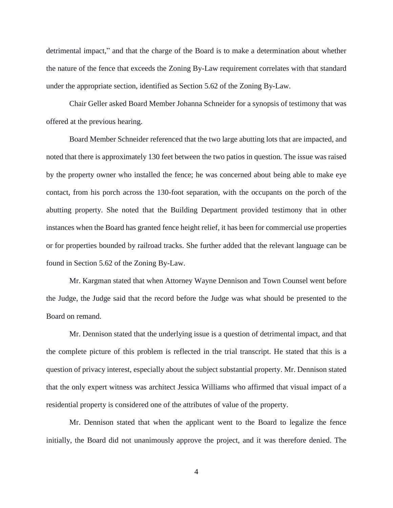detrimental impact," and that the charge of the Board is to make a determination about whether the nature of the fence that exceeds the Zoning By-Law requirement correlates with that standard under the appropriate section, identified as Section 5.62 of the Zoning By-Law.

Chair Geller asked Board Member Johanna Schneider for a synopsis of testimony that was offered at the previous hearing.

Board Member Schneider referenced that the two large abutting lots that are impacted, and noted that there is approximately 130 feet between the two patios in question. The issue was raised by the property owner who installed the fence; he was concerned about being able to make eye contact, from his porch across the 130-foot separation, with the occupants on the porch of the abutting property. She noted that the Building Department provided testimony that in other instances when the Board has granted fence height relief, it has been for commercial use properties or for properties bounded by railroad tracks. She further added that the relevant language can be found in Section 5.62 of the Zoning By-Law.

Mr. Kargman stated that when Attorney Wayne Dennison and Town Counsel went before the Judge, the Judge said that the record before the Judge was what should be presented to the Board on remand.

Mr. Dennison stated that the underlying issue is a question of detrimental impact, and that the complete picture of this problem is reflected in the trial transcript. He stated that this is a question of privacy interest, especially about the subject substantial property. Mr. Dennison stated that the only expert witness was architect Jessica Williams who affirmed that visual impact of a residential property is considered one of the attributes of value of the property.

Mr. Dennison stated that when the applicant went to the Board to legalize the fence initially, the Board did not unanimously approve the project, and it was therefore denied. The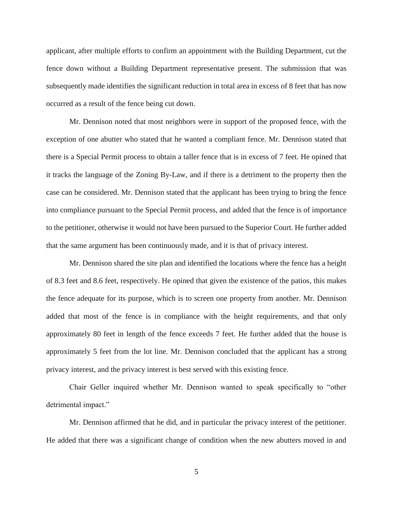applicant, after multiple efforts to confirm an appointment with the Building Department, cut the fence down without a Building Department representative present. The submission that was subsequently made identifies the significant reduction in total area in excess of 8 feet that has now occurred as a result of the fence being cut down.

Mr. Dennison noted that most neighbors were in support of the proposed fence, with the exception of one abutter who stated that he wanted a compliant fence. Mr. Dennison stated that there is a Special Permit process to obtain a taller fence that is in excess of 7 feet. He opined that it tracks the language of the Zoning By-Law, and if there is a detriment to the property then the case can be considered. Mr. Dennison stated that the applicant has been trying to bring the fence into compliance pursuant to the Special Permit process, and added that the fence is of importance to the petitioner, otherwise it would not have been pursued to the Superior Court. He further added that the same argument has been continuously made, and it is that of privacy interest.

Mr. Dennison shared the site plan and identified the locations where the fence has a height of 8.3 feet and 8.6 feet, respectively. He opined that given the existence of the patios, this makes the fence adequate for its purpose, which is to screen one property from another. Mr. Dennison added that most of the fence is in compliance with the height requirements, and that only approximately 80 feet in length of the fence exceeds 7 feet. He further added that the house is approximately 5 feet from the lot line. Mr. Dennison concluded that the applicant has a strong privacy interest, and the privacy interest is best served with this existing fence.

Chair Geller inquired whether Mr. Dennison wanted to speak specifically to "other detrimental impact."

Mr. Dennison affirmed that he did, and in particular the privacy interest of the petitioner. He added that there was a significant change of condition when the new abutters moved in and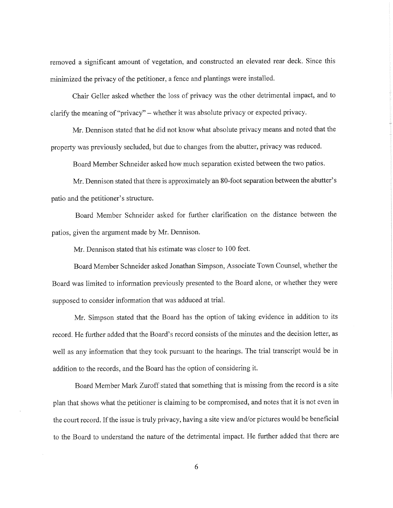removed a significant amount of vegetation, and constructed an elevated rear deck. Since this minimized the privacy of the petitioner, a fence and plantings were installed.

Chair Geller asked whether the loss of privacy was the other detrimental impact, and to clarify the meaning of "privacy" – whether it was absolute privacy or expected privacy.

Mr. Dennison stated that he did not know what absolute privacy means and noted that the property was previously secluded, but due to changes from the abutter, privacy was reduced.

Board Member Schneider asked how much separation existed between the two patios.

Mr. Dennison stated that there is approximately an 80-foot separation between the abutter's patio and the petitioner's structure.

Board Member Schneider asked for further clarification on the distance between the patios, given the argument made by Mr. Dennison.

Mr. Dennison stated that his estimate was closer to 100 feet.

Board Member Schneider asked Jonathan Simpson, Associate Town Counsel, whether the Board was limited to information previously presented to the Board alone, or whether they were supposed to consider information that was adduced at trial.

Mr. Simpson stated that the Board has the option of taking evidence in addition to its record. He further added that the Board's record consists of the minutes and the decision letter, as well as any information that they took pursuant to the hearings. The trial transcript would be in addition to the records, and the Board has the option of considering it.

Board Member Mark Zuroff stated that something that is missing from the record is a site plan that shows what the petitioner is claiming to be compromised, and notes that it is not even in the court record. If the issue is truly privacy, having a site view and/or pictures would be beneficial to the Board to understand the nature of the detrimental impact. He further added that there are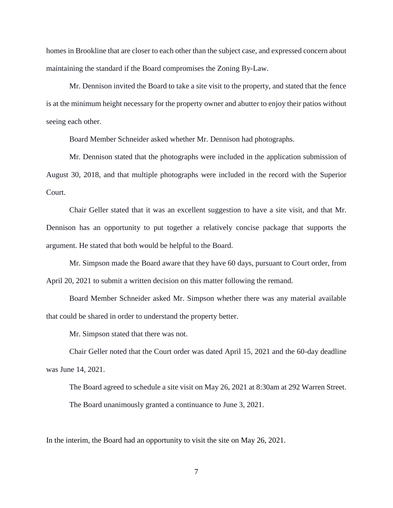homes in Brookline that are closer to each other than the subject case, and expressed concern about maintaining the standard if the Board compromises the Zoning By-Law.

Mr. Dennison invited the Board to take a site visit to the property, and stated that the fence is at the minimum height necessary for the property owner and abutter to enjoy their patios without seeing each other.

Board Member Schneider asked whether Mr. Dennison had photographs.

Mr. Dennison stated that the photographs were included in the application submission of August 30, 2018, and that multiple photographs were included in the record with the Superior Court.

Chair Geller stated that it was an excellent suggestion to have a site visit, and that Mr. Dennison has an opportunity to put together a relatively concise package that supports the argument. He stated that both would be helpful to the Board.

Mr. Simpson made the Board aware that they have 60 days, pursuant to Court order, from April 20, 2021 to submit a written decision on this matter following the remand.

Board Member Schneider asked Mr. Simpson whether there was any material available that could be shared in order to understand the property better.

Mr. Simpson stated that there was not.

Chair Geller noted that the Court order was dated April 15, 2021 and the 60-day deadline was June 14, 2021.

The Board agreed to schedule a site visit on May 26, 2021 at 8:30am at 292 Warren Street. The Board unanimously granted a continuance to June 3, 2021.

In the interim, the Board had an opportunity to visit the site on May 26, 2021.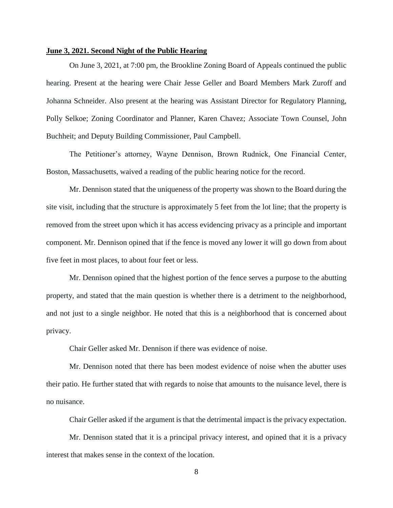### **June 3, 2021. Second Night of the Public Hearing**

On June 3, 2021, at 7:00 pm, the Brookline Zoning Board of Appeals continued the public hearing. Present at the hearing were Chair Jesse Geller and Board Members Mark Zuroff and Johanna Schneider. Also present at the hearing was Assistant Director for Regulatory Planning, Polly Selkoe; Zoning Coordinator and Planner, Karen Chavez; Associate Town Counsel, John Buchheit; and Deputy Building Commissioner, Paul Campbell.

The Petitioner's attorney, Wayne Dennison, Brown Rudnick, One Financial Center, Boston, Massachusetts, waived a reading of the public hearing notice for the record.

Mr. Dennison stated that the uniqueness of the property was shown to the Board during the site visit, including that the structure is approximately 5 feet from the lot line; that the property is removed from the street upon which it has access evidencing privacy as a principle and important component. Mr. Dennison opined that if the fence is moved any lower it will go down from about five feet in most places, to about four feet or less.

Mr. Dennison opined that the highest portion of the fence serves a purpose to the abutting property, and stated that the main question is whether there is a detriment to the neighborhood, and not just to a single neighbor. He noted that this is a neighborhood that is concerned about privacy.

Chair Geller asked Mr. Dennison if there was evidence of noise.

Mr. Dennison noted that there has been modest evidence of noise when the abutter uses their patio. He further stated that with regards to noise that amounts to the nuisance level, there is no nuisance.

Chair Geller asked if the argument is that the detrimental impact is the privacy expectation.

Mr. Dennison stated that it is a principal privacy interest, and opined that it is a privacy interest that makes sense in the context of the location.

8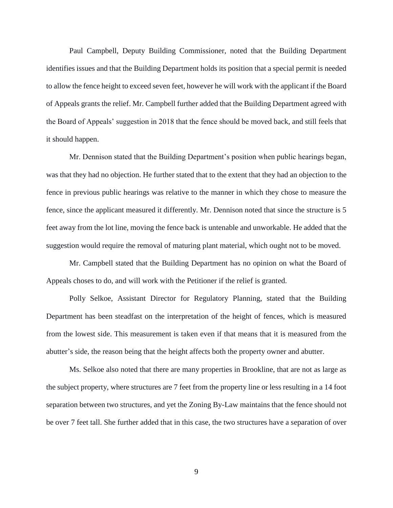Paul Campbell, Deputy Building Commissioner, noted that the Building Department identifies issues and that the Building Department holds its position that a special permit is needed to allow the fence height to exceed seven feet, however he will work with the applicant if the Board of Appeals grants the relief. Mr. Campbell further added that the Building Department agreed with the Board of Appeals' suggestion in 2018 that the fence should be moved back, and still feels that it should happen.

Mr. Dennison stated that the Building Department's position when public hearings began, was that they had no objection. He further stated that to the extent that they had an objection to the fence in previous public hearings was relative to the manner in which they chose to measure the fence, since the applicant measured it differently. Mr. Dennison noted that since the structure is 5 feet away from the lot line, moving the fence back is untenable and unworkable. He added that the suggestion would require the removal of maturing plant material, which ought not to be moved.

Mr. Campbell stated that the Building Department has no opinion on what the Board of Appeals choses to do, and will work with the Petitioner if the relief is granted.

Polly Selkoe, Assistant Director for Regulatory Planning, stated that the Building Department has been steadfast on the interpretation of the height of fences, which is measured from the lowest side. This measurement is taken even if that means that it is measured from the abutter's side, the reason being that the height affects both the property owner and abutter.

Ms. Selkoe also noted that there are many properties in Brookline, that are not as large as the subject property, where structures are 7 feet from the property line or less resulting in a 14 foot separation between two structures, and yet the Zoning By-Law maintains that the fence should not be over 7 feet tall. She further added that in this case, the two structures have a separation of over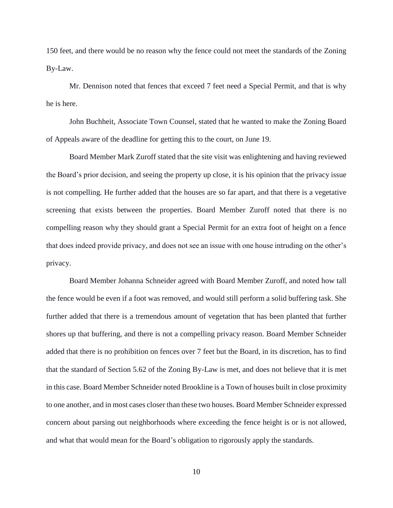150 feet, and there would be no reason why the fence could not meet the standards of the Zoning By-Law.

Mr. Dennison noted that fences that exceed 7 feet need a Special Permit, and that is why he is here.

John Buchheit, Associate Town Counsel, stated that he wanted to make the Zoning Board of Appeals aware of the deadline for getting this to the court, on June 19.

Board Member Mark Zuroff stated that the site visit was enlightening and having reviewed the Board's prior decision, and seeing the property up close, it is his opinion that the privacy issue is not compelling. He further added that the houses are so far apart, and that there is a vegetative screening that exists between the properties. Board Member Zuroff noted that there is no compelling reason why they should grant a Special Permit for an extra foot of height on a fence that does indeed provide privacy, and does not see an issue with one house intruding on the other's privacy.

Board Member Johanna Schneider agreed with Board Member Zuroff, and noted how tall the fence would be even if a foot was removed, and would still perform a solid buffering task. She further added that there is a tremendous amount of vegetation that has been planted that further shores up that buffering, and there is not a compelling privacy reason. Board Member Schneider added that there is no prohibition on fences over 7 feet but the Board, in its discretion, has to find that the standard of Section 5.62 of the Zoning By-Law is met, and does not believe that it is met in this case. Board Member Schneider noted Brookline is a Town of houses built in close proximity to one another, and in most cases closer than these two houses. Board Member Schneider expressed concern about parsing out neighborhoods where exceeding the fence height is or is not allowed, and what that would mean for the Board's obligation to rigorously apply the standards.